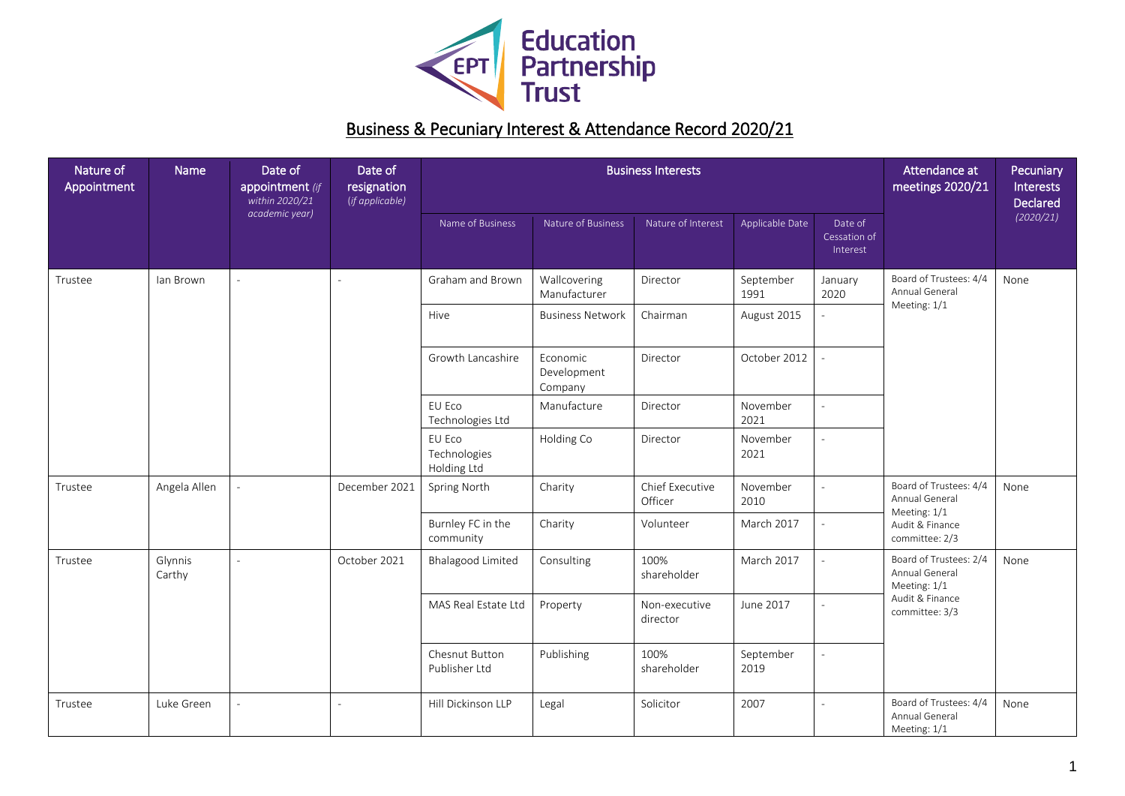

## Business & Pecuniary Interest & Attendance Record 2020/21

| Nature of<br>Appointment | Name              | Date of<br>appointment (if<br>within 2020/21<br>academic year) | Date of<br>resignation<br>(if applicable) | <b>Business Interests</b>             |                                    |                            |                   |                                     | Attendance at<br>meetings 2020/21                                                             | Pecuniary<br><b>Interests</b><br><b>Declared</b> |
|--------------------------|-------------------|----------------------------------------------------------------|-------------------------------------------|---------------------------------------|------------------------------------|----------------------------|-------------------|-------------------------------------|-----------------------------------------------------------------------------------------------|--------------------------------------------------|
|                          |                   |                                                                |                                           | Name of Business                      | Nature of Business                 | Nature of Interest         | Applicable Date   | Date of<br>Cessation of<br>Interest |                                                                                               | (2020/21)                                        |
| Trustee                  | lan Brown         |                                                                |                                           | Graham and Brown                      | Wallcovering<br>Manufacturer       | Director                   | September<br>1991 | January<br>2020                     | Board of Trustees: 4/4<br>Annual General<br>Meeting: 1/1                                      | None                                             |
|                          |                   |                                                                |                                           | Hive                                  | <b>Business Network</b>            | Chairman                   | August 2015       |                                     |                                                                                               |                                                  |
|                          |                   |                                                                |                                           | Growth Lancashire                     | Economic<br>Development<br>Company | Director                   | October 2012      |                                     |                                                                                               |                                                  |
|                          |                   |                                                                |                                           | EU Eco<br>Technologies Ltd            | Manufacture                        | Director                   | November<br>2021  |                                     |                                                                                               |                                                  |
|                          |                   |                                                                |                                           | EU Eco<br>Technologies<br>Holding Ltd | Holding Co                         | Director                   | November<br>2021  |                                     |                                                                                               |                                                  |
| Trustee                  | Angela Allen      |                                                                | December 2021                             | Spring North                          | Charity                            | Chief Executive<br>Officer | November<br>2010  |                                     | Board of Trustees: 4/4<br>Annual General<br>Meeting: 1/1<br>Audit & Finance<br>committee: 2/3 | None                                             |
|                          |                   |                                                                |                                           | Burnley FC in the<br>community        | Charity                            | Volunteer                  | March 2017        |                                     |                                                                                               |                                                  |
| Trustee                  | Glynnis<br>Carthy | $\sim$                                                         | October 2021                              | Bhalagood Limited                     | Consulting                         | 100%<br>shareholder        | March 2017        | $\overline{\phantom{a}}$            | Board of Trustees: 2/4<br>Annual General<br>Meeting: 1/1<br>Audit & Finance<br>committee: 3/3 | None                                             |
|                          |                   |                                                                |                                           | MAS Real Estate Ltd                   | Property                           | Non-executive<br>director  | June 2017         |                                     |                                                                                               |                                                  |
|                          |                   |                                                                |                                           | Chesnut Button<br>Publisher Ltd       | Publishing                         | 100%<br>shareholder        | September<br>2019 |                                     |                                                                                               |                                                  |
| Trustee                  | Luke Green        |                                                                |                                           | Hill Dickinson LLP                    | Legal                              | Solicitor                  | 2007              |                                     | Board of Trustees: 4/4<br>Annual General<br>Meeting: 1/1                                      | None                                             |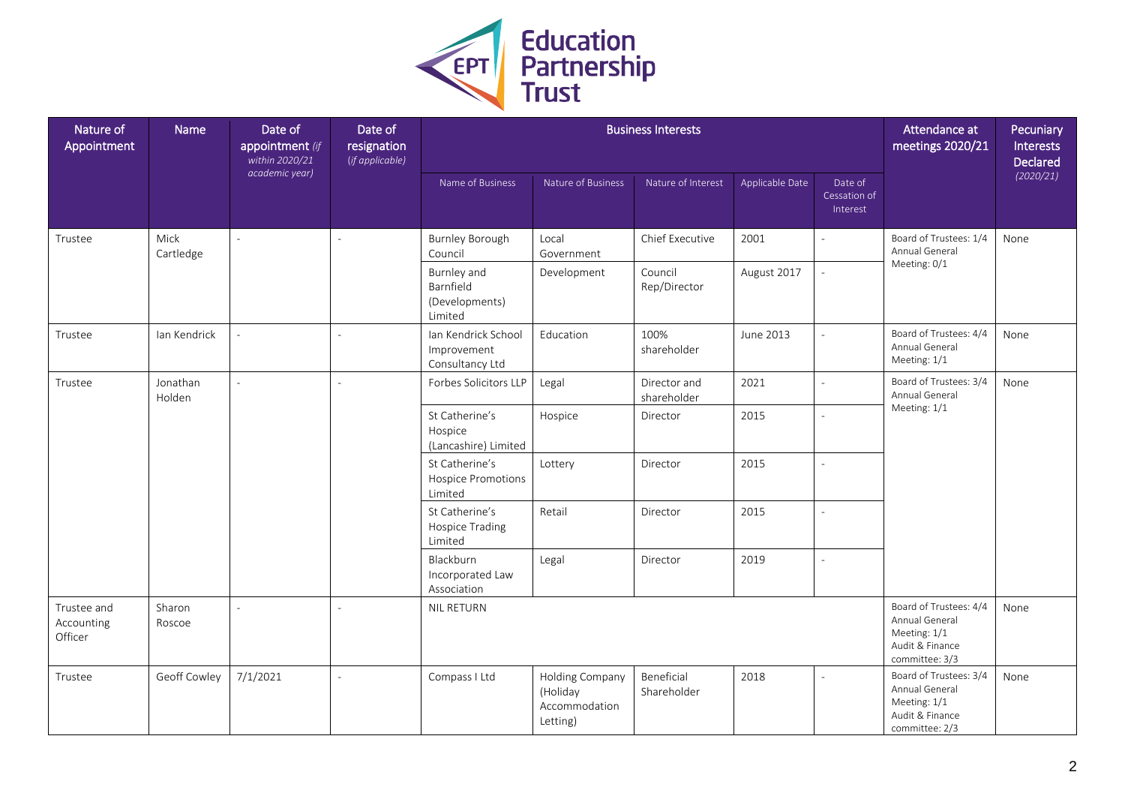

| Nature of<br>Appointment             | Name               | Date of<br>appointment (if<br>within 2020/21<br>academic year) | Date of<br>resignation<br>(if applicable) | <b>Business Interests</b>                             |                                                          |                             |                 |                                     | Attendance at<br>meetings 2020/21                                                             | Pecuniary<br>Interests<br>Declared |
|--------------------------------------|--------------------|----------------------------------------------------------------|-------------------------------------------|-------------------------------------------------------|----------------------------------------------------------|-----------------------------|-----------------|-------------------------------------|-----------------------------------------------------------------------------------------------|------------------------------------|
|                                      |                    |                                                                |                                           | Name of Business                                      | Nature of Business                                       | Nature of Interest          | Applicable Date | Date of<br>Cessation of<br>Interest |                                                                                               | (2020/21)                          |
| Trustee                              | Mick<br>Cartledge  |                                                                |                                           | Burnley Borough<br>Council                            | Local<br>Government                                      | Chief Executive             | 2001            |                                     | Board of Trustees: 1/4<br>Annual General<br>Meeting: 0/1                                      | None                               |
|                                      |                    |                                                                |                                           | Burnley and<br>Barnfield<br>(Developments)<br>Limited | Development                                              | Council<br>Rep/Director     | August 2017     |                                     |                                                                                               |                                    |
| Trustee                              | Ian Kendrick       |                                                                |                                           | Ian Kendrick School<br>Improvement<br>Consultancy Ltd | Education                                                | 100%<br>shareholder         | June 2013       |                                     | Board of Trustees: 4/4<br>Annual General<br>Meeting: 1/1                                      | None                               |
| Trustee                              | Jonathan<br>Holden |                                                                |                                           | Forbes Solicitors LLP                                 | Legal                                                    | Director and<br>shareholder | 2021            |                                     | Board of Trustees: 3/4<br>Annual General<br>Meeting: 1/1                                      | None                               |
|                                      |                    |                                                                |                                           | St Catherine's<br>Hospice<br>(Lancashire) Limited     | Hospice                                                  | Director                    | 2015            |                                     |                                                                                               |                                    |
|                                      |                    |                                                                |                                           | St Catherine's<br>Hospice Promotions<br>Limited       | Lottery                                                  | Director                    | 2015            |                                     |                                                                                               |                                    |
|                                      |                    |                                                                |                                           | St Catherine's<br>Hospice Trading<br>Limited          | Retail                                                   | Director                    | 2015            | $\overline{a}$                      |                                                                                               |                                    |
|                                      |                    |                                                                |                                           | Blackburn<br>Incorporated Law<br>Association          | Legal                                                    | Director                    | 2019            | $\overline{a}$                      |                                                                                               |                                    |
| Trustee and<br>Accounting<br>Officer | Sharon<br>Roscoe   |                                                                |                                           | NIL RETURN                                            |                                                          |                             |                 |                                     | Board of Trustees: 4/4<br>Annual General<br>Meeting: 1/1<br>Audit & Finance<br>committee: 3/3 | None                               |
| Trustee                              | Geoff Cowley       | 7/1/2021                                                       |                                           | Compass I Ltd                                         | Holding Company<br>(Holiday<br>Accommodation<br>Letting) | Beneficial<br>Shareholder   | 2018            |                                     | Board of Trustees: 3/4<br>Annual General<br>Meeting: 1/1<br>Audit & Finance<br>committee: 2/3 | None                               |